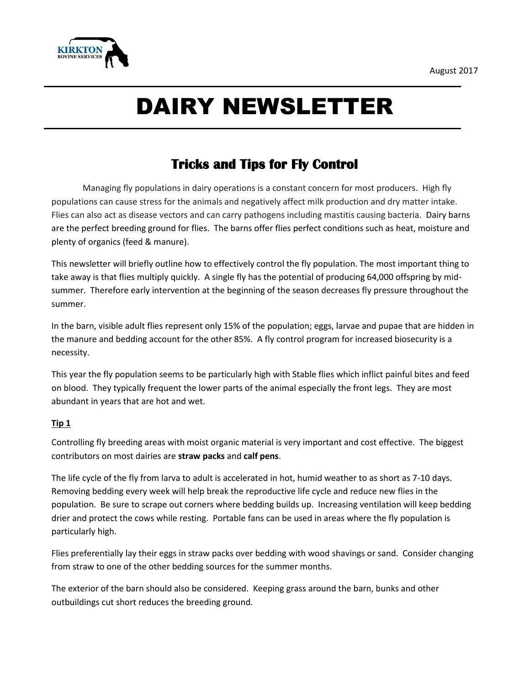

# DAIRY NEWSLETTER

# **Tricks and Tips for Fly Control**

Managing fly populations in dairy operations is a constant concern for most producers. High fly populations can cause stress for the animals and negatively affect milk production and dry matter intake. Flies can also act as disease vectors and can carry pathogens including mastitis causing bacteria. Dairy barns are the perfect breeding ground for flies. The barns offer flies perfect conditions such as heat, moisture and plenty of organics (feed & manure).

This newsletter will briefly outline how to effectively control the fly population. The most important thing to take away is that flies multiply quickly. A single fly has the potential of producing 64,000 offspring by midsummer. Therefore early intervention at the beginning of the season decreases fly pressure throughout the summer.

In the barn, visible adult flies represent only 15% of the population; eggs, larvae and pupae that are hidden in the manure and bedding account for the other 85%. A fly control program for increased biosecurity is a necessity.

This year the fly population seems to be particularly high with Stable flies which inflict painful bites and feed on blood. They typically frequent the lower parts of the animal especially the front legs. They are most abundant in years that are hot and wet.

# **Tip 1**

Controlling fly breeding areas with moist organic material is very important and cost effective. The biggest contributors on most dairies are **straw packs** and **calf pens**.

The life cycle of the fly from larva to adult is accelerated in hot, humid weather to as short as 7-10 days. Removing bedding every week will help break the reproductive life cycle and reduce new flies in the population. Be sure to scrape out corners where bedding builds up. Increasing ventilation will keep bedding drier and protect the cows while resting. Portable fans can be used in areas where the fly population is particularly high.

Flies preferentially lay their eggs in straw packs over bedding with wood shavings or sand. Consider changing from straw to one of the other bedding sources for the summer months.

The exterior of the barn should also be considered. Keeping grass around the barn, bunks and other outbuildings cut short reduces the breeding ground.